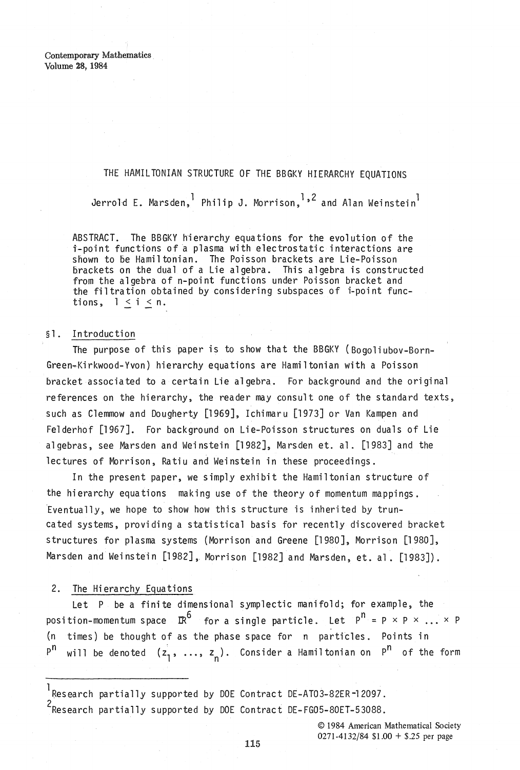Contemporary Mathematics Volume 28, 1984

## THE HAMILTONIAN STRUCTURE OF THE BBGKY HIERARCHY EQUATIONS

Jerrold E. Marsden, Philip J. Morrison,  $1,2$  and Alan Weinstein<sup>l</sup>

ABSTRACT. The BBGKY hierarchy equations for the evolution of the i-point functions of a plasma with electrostatic interactions are snown to De Hamil tonian. The Poisson brackets are Lie-Poisson brackets on the dual of a Lie algebra. This algebra is constructed from the algebra of n-point functions under Poisson bracket and the filtration obtained by considering subspaces of i-point functions,  $1 < i < n$ .

## §l. Introduction

The purpose of this paper is to show that the BBGKY (Bogoliubov-Born-Green-Kirkwood-Yvon) hierarchy equations are Hamil tonian with a Poisson bracket associated to a certain Lie algebra. For background and the original references on the hierarchy, the reader may consult one of the standard texts, such as Clemmow and Dougherty [1969J, Ichimaru [1973J or Van Kampen and Felderhof [1967J. For background on Lie-Poisson structures on duals of Lie algebras, see Marsden and Weinstein [1982J, Marsden et. al. [1983] and the lectures of Morrison, Ratiu and Weinstein in these proceedings.

In the present paper, we simply exhibit the Hamiltonian structure of the hierarchy equations making use of the theory of momentum mappings. 'Eventually, we hope to show how this structure is inherited by truncated systems, providing a statistical basis for recently discovered bracket structures for plasma systems (Morrison and Greene [1980J, Morrison [1980J, Marsden and Weinstein [1982], Morrison [1982] and Marsden, et. al. [1983]).

## 2. The Hierarchy Equations

Let P be a finite dimensional symplectic manifold; for example, the position-momentum space  $\mathbb{R}^6$  for a single particle. Let  $P^n = P \times P \times ... \times P$  $(n - times)$  be thought of as the phase space for n particles. Points in  $P^{n}$  will be denoted  $(z_{1}^{1}, \ldots, z_{n})$ . Consider a Hamiltonian on  $P^{n}$  of the form

1 Research partially supported by DOE Contract DE-AT03-82ER-12097.

<sup>2</sup>Research partially supported by DOE Contract DE-FG05-80ET-53088.

© 1984 American Mathematical Society 0271·4132/84 \$1.00 + \$.25 per page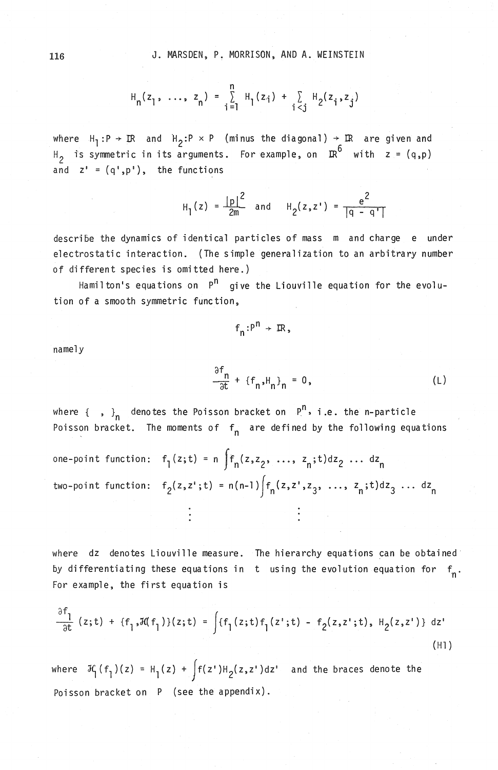$$
H_n(z_1, ..., z_n) = \sum_{i=1}^{n} H_i(z_i) + \sum_{i < j} H_2(z_i, z_j)
$$

where  $H_1: P \rightarrow \mathbb{R}$  and  $H_2: P \times P$  (minus the diagonal)  $\rightarrow \mathbb{R}$  are given and  $H_2$  is symmetric in its arguments. For example, on  $\mathbb{R}^6$  with  $z = (q, p)$ and  $z^* = (q^*, p^*)$ , the functions

$$
H_1(z) = \frac{|p|^2}{2m}
$$
 and  $H_2(z, z') = \frac{e^2}{|q - q'|}$ 

describe the dynamics of identical particles of mass m and charge e under electrostatic interaction. (The simple generalization to an arbitrary number of different species is omitted here.)

Hamilton's equations on  $P^{n}$  give the Liouville equation for the evolution of a smooth symmetric function,

 $f_n : P^n \rightarrow \mathbb{R}$ ,

namely

$$
\frac{\partial f_n}{\partial t} + \{f_n, H_n\}_n = 0,
$$
 (L)

where  $\{\ ,\ \}_{n}$  denotes the Poisson bracket on  $P^n$ , i.e. the n-particle Poisson bracket. The moments of  $f_n$  are defined by the following equations

one-point function: 
$$
f_1(z,t) = n \int f_n(z, z_2, ..., z_n; t) dz_2 ... dz_n
$$
  
two-point function:  $f_2(z, z^1; t) = n(n-1) \int f_n(z, z^1, z_3, ..., z_n; t) dz_3 ... dz_n$ 

where dz denotes Liouville measure. The hierarchy equations can be obtained by differentiating these equations in t using the evolution equation for  $f_n$ . For example, the first equation is

$$
\frac{\partial f_1}{\partial t} (z; t) + \{f_1, \mathcal{H}(f_1)\}(z; t) = \int \{f_1(z; t) f_1(z'; t) - f_2(z, z'; t), H_2(z, z')\} dz'
$$
\n(H1)

where  $\mathcal{H}_1(f_1)(z) = H_1(z) + \int f(z')H_2(z,z')dz'$  and the braces denote the Poisson bracket on P (see the appendix).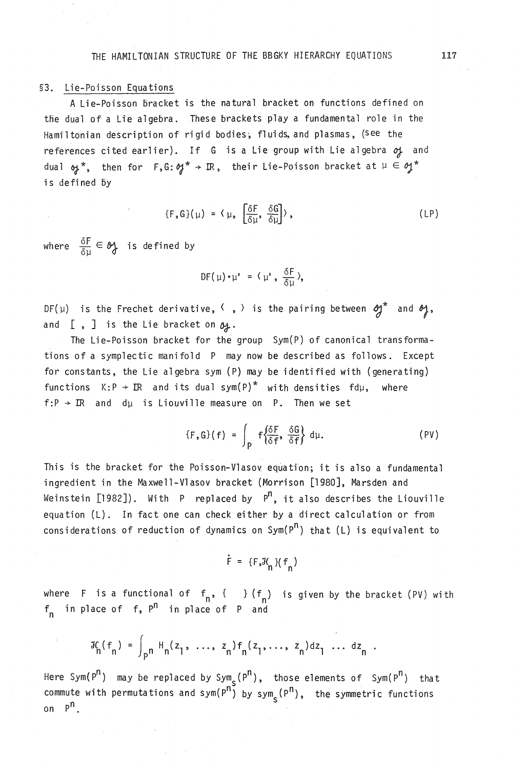## §3. Lie-Poisson Equations

A Lie-Poisson 5racket is the natural bracket on functions defined on the dual of a Lie algebra. These brackets play a fundamental role in the Hamiltonian description of rigid bodies, fluids, and plasmas, (See the references cited earlier). If G is a Lie group with Lie algebra  $of$  and dual  $\omega^*$ , then for F, G:  $\omega^* \rightarrow \mathbb{R}$ , their Lie-Poisson bracket at  $\mu \in \omega^*$ is defined by

$$
\{F,G\}(\mu) = \langle \mu, \left[\frac{\delta F}{\delta \mu}, \frac{\delta G}{\delta \mu}\right] \rangle, \qquad (LP)
$$

where  $\frac{\delta F}{\delta u} \in \mathcal{Y}$  is defined by

$$
DF(\mu) \cdot \mu' = (\mu' \cdot \frac{\delta F}{\delta \mu})
$$

DF( $\mu$ ) is the Frechet derivative,  $\langle , \rangle$  is the pairing between  $g^*$  and  $g^*$ , and  $[$ ,  $]$  is the Lie bracket on  $\mathfrak{g}_+$ .

The Lie-Poisson bracket for the group Sym(P) of canonical transformations of a symplectic manifold P may now be described as follows. Except for constants, the Lie algebra sym (P) may be identified with (generating) functions  $K: P \rightarrow \mathbb{R}$  and its dual sym(P)<sup>\*</sup> with densities fdµ, where  $f:P \rightarrow \mathbb{R}$  and d<sub>u</sub> is Liouville measure on P. Then we set

 $\{F, G\}(f) = \int_{P} f \left\{ \frac{\delta F}{\delta f}, \frac{\delta G}{\delta f} \right\} d\mu.$  (PV)

This is the bracket for the Poisson-Vlasov equation; it is also a fundamental ingredient in the Maxwell-Vlasov bracket (Morrison [1980J, Marsden and Weinstein [1982]). With P replaced by  $P^{n}$ , it also describes the Liouville equation (L). In fact one can check either by a direct calculation or from considerations of reduction of dynamics on  $\text{Sym}(P^n)$  that (L) is equivalent to

 $\dot{F} = \{F, \mathcal{H}, \} (f_n)$ 

where F is a functional of  $f_n$ , { } ( $f_n$ ) is given by the bracket (PV) with  $f_n$  in place of f,  $P^n$  in place of P and

$$
\mathcal{H}_{n}(f_{n}) = \int_{p^{n}} H_{n}(z_{1}, ..., z_{n}) f_{n}(z_{1}, ..., z_{n}) dz_{1} ... dz_{n}.
$$

Here Sym( $P^{n}$ ) may be replaced by Sym<sub>s</sub>( $P^{n}$ ), those elements of Sym( $P^{n}$ ) that commute with permutations and sym( $P^{n}$ ) by sym $_{S}$ ( $P^{n}$ ), the symmetric functions on P<sup>n</sup>.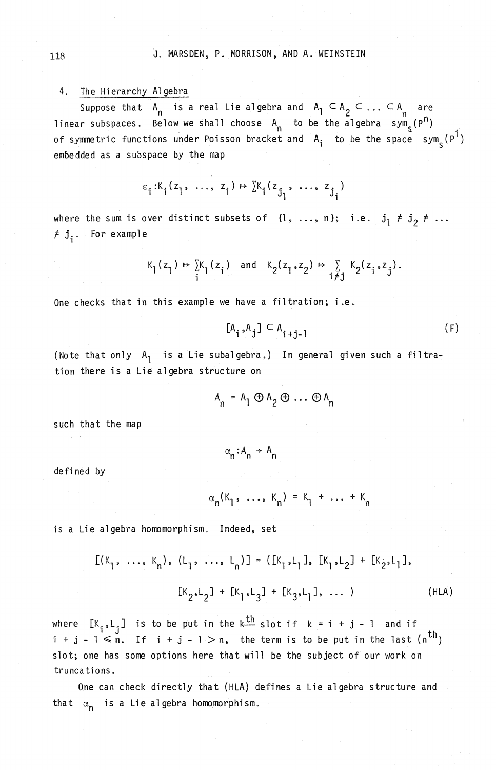# 4. The Hierarchy Algebra

Suppose that  $A_n$  is a real Lie algebra and  $A_1 \subseteq A_2 \subseteq ... \subseteq A_n$  are linear subspaces. Below we shall choose  $A_n$  to be the algebra  $sym_e(P^n)$ of symmetric functions under Poisson bracket and  $A_i$  to be the space sym<sub>s</sub> (P<sup>1</sup>) embedded as a subspace by the map

$$
\varepsilon_{i}:K_{i}(z_{1},..., z_{i}) \mapsto [K_{i}(z_{j_{1}},..., z_{j_{i}})]
$$

where the sum is over distinct subsets of  $\{1, \ldots, n\};$  i.e.  $f_j$ . For example

$$
\kappa_1(z_1) \mapsto \sum_i \kappa_1(z_i) \quad \text{and} \quad \kappa_2(z_1, z_2) \mapsto \sum_{i \neq j} \kappa_2(z_i, z_j)
$$

One checks that in this example we have a filtration; i.e.

$$
[A_i, A_j] \subset A_{i+j-1}
$$
 (F)

(Note that only  $A_1$  is a Lie subalgebra,) In general given such a filtration there is a Lie algebra structure on

$$
A_n = A_1 \oplus A_2 \oplus \ldots \oplus A_n
$$

such that the map

 $\alpha_n : A_n \rightarrow A_n$ 

defined by

$$
\alpha_n(K_1, \ldots, K_n) = K_1 + \ldots + K_n
$$

is a Lie algebra homomorphism. Indeed, set

$$
[K_{1}, ..., K_{n}), (L_{1}, ..., L_{n})] = ([K_{1}, L_{1}], [K_{1}, L_{2}] + [K_{2}, L_{1}],
$$
  

$$
[K_{2}, L_{2}] + [K_{1}, L_{3}] + [K_{3}, L_{1}], ...,)
$$
 (HLA)

where  $[K_i, L_j]$  is to be put in the k<sup>th</sup> slot if  $k = i + j - 1$  and if i + j - 1  $\leqslant$  n. If i + j - 1  $>$  n, the term is to be put in the last  $(n^{th})$ slot; one has some options here that will be the subject of our work on trunca ti ons.

One can check directly that (HLA) defines a Lie algebra structure and that  $\alpha_n$  is a Lie algebra homomorphism.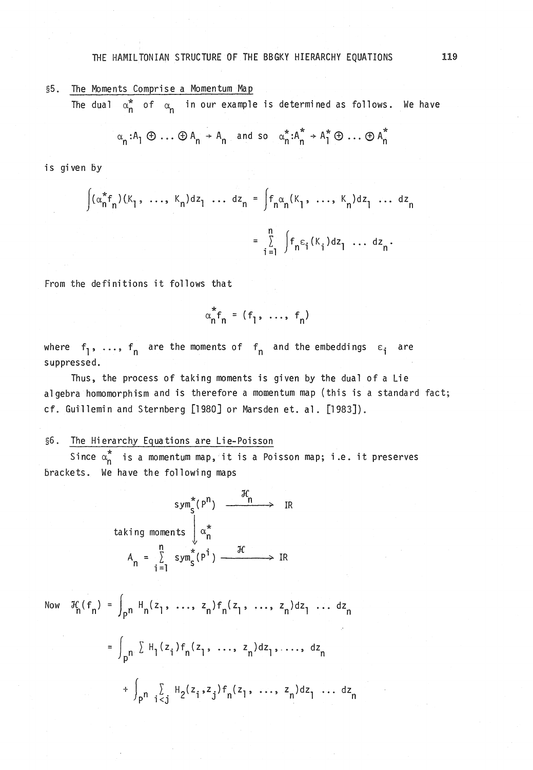## THE HAMILTONIAN STRUCTURE OF THE BBGKY HIERARCHY EQUATIONS 119

§5. The Moments Comprise a Momentum Map

The dual  $\alpha_n^*$  of  $\alpha_n$  in our example is determined as follows. We have

$$
\alpha_n : A_1 \oplus \ldots \oplus A_n \rightarrow A_n \quad \text{and so} \quad \alpha_n^\star : A_n^\star \rightarrow A_1^\star \oplus \ldots \oplus A_n^\star
$$

is given by

$$
\int (\alpha_n^* f_n)(K_1, \ldots, K_n) dz_1 \ldots dz_n = \int f_n \alpha_n(K_1, \ldots, K_n) dz_1 \ldots dz_n
$$
  
= 
$$
\sum_{i=1}^n \int f_n \varepsilon_i(K_i) dz_1 \ldots dz_n.
$$

From the definitions it follows that

$$
\alpha_n^* f_n = (f_1, \ldots, f_n)
$$

where  $f_1$ , ...,  $f_n$  are the moments of  $f_n$  and the embeddings  $\varepsilon_i$  are suppressed.

Thus, the process of taking moments is given by the dual of a Lie algebra homomorphism and is therefore a momentum map (this is a standard fact; cf. Guillemin and Sternberg [1980J or Marsden et. al. [1983J).

# 96. The Hi erarchy Equa tions are Lie-Poisson

Since  $\alpha_n^*$  is a momentum map, it is a Poisson map; i.e. it preserves brackets. We have the following maps

$$
sym_{S}^{*}(P^{n}) \xrightarrow{\mathcal{H}_{n}} IR
$$
\ntaking moments  $\downarrow \alpha_{n}^{*}$ \n
$$
A_{n} = \sum_{i=1}^{n} sym_{S}^{*}(P^{i}) \xrightarrow{\mathcal{H}} IR
$$

Now 
$$
\mathcal{H}_n(f_n) = \int_{p^n} H_n(z_1, \ldots, z_n) f_n(z_1, \ldots, z_n) dz_1 \ldots dz_n
$$
  

$$
= \int_{p^n} \sum_{i=1}^n H_i(z_i) f_n(z_1, \ldots, z_n) dz_1, \ldots, dz_n
$$

$$
+ \int_{p^n} \sum_{i \le j} H_2(z_i, z_j) f_n(z_1, \ldots, z_n) dz_1 \ldots dz_n
$$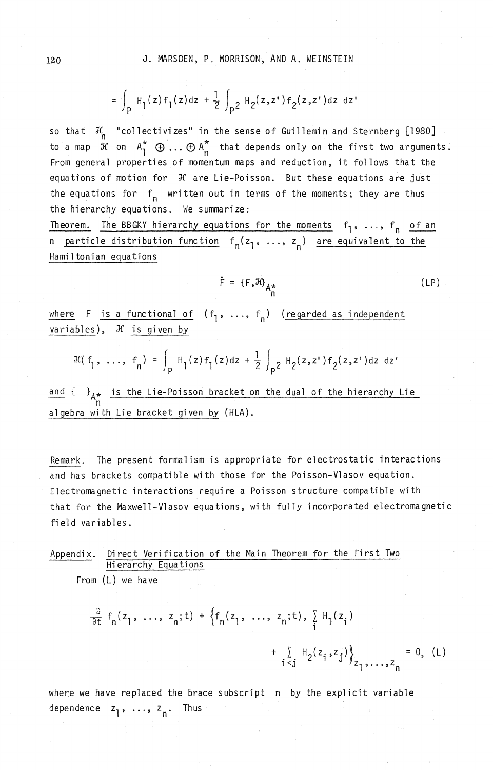$$
= \int_{P} H_{1}(z) f_{1}(z) dz + \frac{1}{2} \int_{P} 2 H_{2}(z, z') f_{2}(z, z') dz dz'
$$

so that  $\mathcal{H}_{\mathsf{n}}$  "collectivizes" in the sense of Guillemin and Sternberg [1980] to a map  $\widetilde{J}$ C on  $A_1^*$   $\oplus \ldots \oplus A_n^*$  that depends only on the first two arguments. From general properties of momentum maps and reduction, it follows that the equations of motion for  $\mathcal H$  are Lie-Poisson. But these equations are just the equations for  $f_n$  written out in terms of the moments; they are thus the hierarchy equations. We summarize:

Theorem. The BBGKY hierarchy equations for the moments  $f_1$ , ...,  $f_n$  of an n particle distribution function  $f_n(z_1, \ldots, z_n)$  are equivalent to the Hamiltonian equations

$$
\dot{F} = \{F, \mathcal{H}\}_{A^*}
$$
 (LP)

where F is a functional of  $(f_1, \ldots, f_n)$  (regarded as independent variables),  $\mathcal H$  is given by

$$
\mathcal{H}(f_1, \ldots, f_n) = \int_P H_1(z) f_1(z) dz + \frac{1}{2} \int_{P^2} H_2(z, z^*) f_2(z, z^*) dz dz
$$

and {  $\}$ <sub> $A*$ </sub> is the Lie-Poisson bracket on the dual of the hierarchy Lie n algebra with Lie bracket given by (HLA).

Remark. The present formalism is appropriate for electrostatic interactions and has brackets compatible with those for the Poisson-Vlasov equation. Electromagnetic interactions require a Poisson structure compatible with that for the Maxwell-Vlasov equations, with fully incorporated electromagnetic field variables.

# Appendix. Direct Verification of the Main Theorem for the First Two Hierarchy Equations

 $\frac{\partial}{\partial t} f_n(z_1, \ldots, z_n; t) + \left\{ f_n(z_1, \ldots, z_n; t), \sum_i H_i(z_i) \right\}$ 

From (L) we have

$$
+\sum_{i < j} H_2(z_i, z_j)\Big\}_{z_1, \ldots, z_n} = 0, \quad (L)
$$

where we have replaced the brace subscript n by the explicit variable dependence  $z_1$ , ...,  $z_n$ . Thus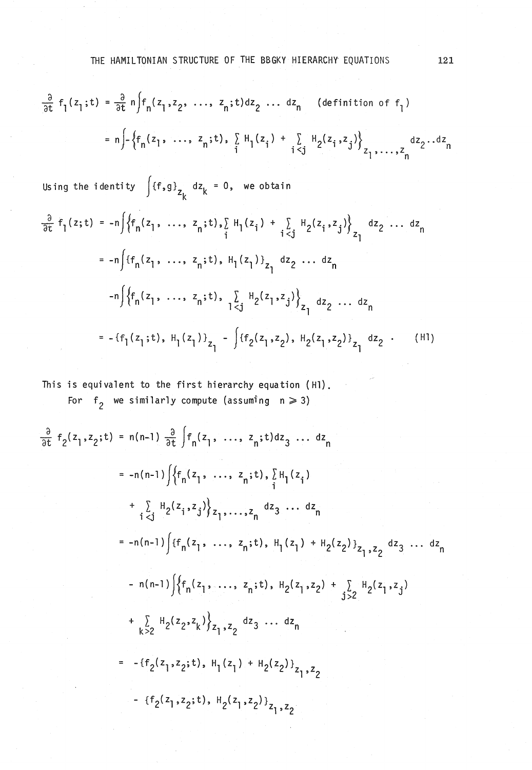$$
\frac{\partial}{\partial t} f_1(z_1; t) = \frac{\partial}{\partial t} n \int f_n(z_1, z_2, \dots, z_n; t) dz_2 \dots dz_n \quad \text{(definition of } f_1)
$$
\n
$$
= n \int - \left\{ f_n(z_1, \dots, z_n; t), \sum_{i} H_i(z_i) + \sum_{i < j} H_2(z_i, z_j) \right\}_{z_1, \dots, z_n} dz_2 \dots dz_n
$$

Using the identity  $\int {f,g \brace z_k}$  dz $_k = 0$ , we obtain

$$
\frac{\partial}{\partial t} f_1(z;t) = -n \Big\{ f_n(z_1, \ldots, z_n;t), \sum_{i} H_1(z_i) + \sum_{i < j} H_2(z_i, z_j) \Big\}_{z_1} dz_2 \ldots dz_n
$$
\n
$$
= -n \Big\{ f_n(z_1, \ldots, z_n;t), H_1(z_1) \Big\}_{z_1} dz_2 \ldots dz_n
$$
\n
$$
-n \Big\{ f_n(z_1, \ldots, z_n;t), \sum_{1 < j} H_2(z_1, z_j) \Big\}_{z_1} dz_2 \ldots dz_n
$$
\n
$$
= -\{f_1(z_1;t), H_1(z_1) \Big\}_{z_1} - \Big\{ f_2(z_1, z_2), H_2(z_1, z_2) \Big\}_{z_1} dz_2 \ldots (H1)
$$

This is equivalent to the first hierarchy equation (Hl).

For 
$$
f_2
$$
 we similarly compute (assuming  $n \ge 3$ )

$$
\frac{9}{9t} f_2(z_1, z_2; t) = n(n-1) \frac{9}{9t} \int_{0}^{t} f_1(z_1, \ldots, z_n; t) dz_3 \ldots dz_n
$$
\n
$$
= -n(n-1) \int_{0}^{t} \{f_1(z_1, \ldots, z_n; t), \sum_{i=1}^{n} H_i(z_i)
$$
\n
$$
+ \sum_{i < j} H_2(z_1, z_j) \} z_1, \ldots, z_n dz_3 \ldots dz_n
$$
\n
$$
= -n(n-1) \int_{0}^{t} \{f_1(z_1, \ldots, z_n; t), H_1(z_1) + H_2(z_2) \} z_1, z_2 dz_3 \ldots dz_n
$$
\n
$$
- n(n-1) \int_{0}^{t} \{f_1(z_1, \ldots, z_n; t), H_2(z_1, z_2) + \sum_{j>2} H_2(z_1, z_j) + \sum_{k>2} H_2(z_2, z_k) \} z_1, z_2 dz_3 \ldots dz_n
$$
\n
$$
= -\{f_2(z_1, z_2; t), H_1(z_1) + H_2(z_2) \} z_1, z_2
$$
\n
$$
- \{f_2(z_1, z_2; t), H_2(z_1, z_2) \} z_1, z_2
$$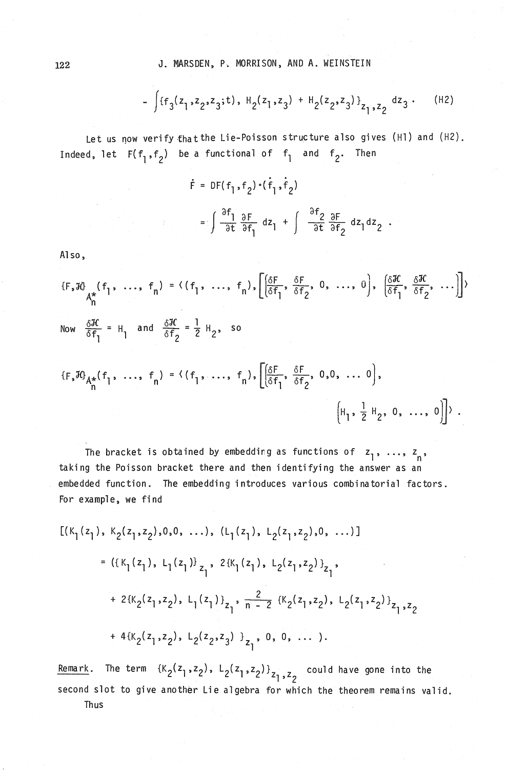$$
-\int \{f_3(z_1,z_2,z_3;t), H_2(z_1,z_3) + H_2(z_2,z_3)\}_{z_1,z_2} dz_3.
$$
 (H2)

Let us now verify that the Lie-Poisson structure also gives (H1) and (H2). Indeed, let  $F(f_1, f_2)$  be a functional of  $f_1$  and  $f_2$ . Then

$$
\dot{\mathbf{F}} = DF(f_1, f_2) \cdot (\dot{f}_1, \dot{f}_2)
$$
\n
$$
= \int \frac{\partial f_1}{\partial t} \frac{\partial F}{\partial f_1} dz_1 + \int \frac{\partial f_2}{\partial t} \frac{\partial F}{\partial f_2} dz_1 dz_2.
$$

Al so,

$$
\{F, \mathcal{H}\} \quad (f_1, \ldots, f_n) = \langle (f_1, \ldots, f_n), \left[ \frac{\delta F}{\delta f_1}, \frac{\delta F}{\delta f_2}, 0, \ldots, 0 \right], \left[ \frac{\delta \mathcal{H}}{\delta f_1}, \frac{\delta \mathcal{H}}{\delta f_2}, \ldots \right] \rangle
$$
\n
$$
\text{Now } \frac{\delta \mathcal{H}}{\delta f_1} = H_1 \quad \text{and } \frac{\delta \mathcal{H}}{\delta f_2} = \frac{1}{2} H_2, \text{ so}
$$
\n
$$
\{F, \mathcal{H}\}_{A_n^*}(f_1, \ldots, f_n) = \langle (f_1, \ldots, f_n), \left[ \frac{\delta F}{\delta f_1}, \frac{\delta F}{\delta f_2}, 0, 0, \ldots, 0 \right], \left[ H_1, \frac{1}{2} H_2, 0, \ldots, 0 \right] \rangle.
$$

The bracket is obtained by embedding as functions of  $z_1$ , ...,  $z_n$ , taking the Poisson bracket there and then identifying the answer as an embedded function. The embedding introduces various combinatorial factors. For example, we find

$$
[ (K_1(z_1), K_2(z_1, z_2), 0, 0, \ldots), (L_1(z_1), L_2(z_1, z_2), 0, \ldots) ]
$$
  
\n
$$
= ( {K_1(z_1), L_1(z_1)}_{z_1}, 2{K_1(z_1), L_2(z_1, z_2)}_{z_1},
$$
  
\n
$$
+ 2{K_2(z_1, z_2), L_1(z_1)}_{z_1}, \frac{2}{n-2} {K_2(z_1, z_2), L_2(z_1, z_2)}_{z_1, z_2}
$$
  
\n
$$
+ 4{K_2(z_1, z_2), L_2(z_2, z_3)}_{z_1}, 0, 0, \ldots).
$$

Remark. The term  $\{K_2(z_1,z_2), L_2(z_1,z_2)\}_{z_1,z_2}$  could have gone into the second slot to give another Lie algebra for which the theorem remains valid. Thus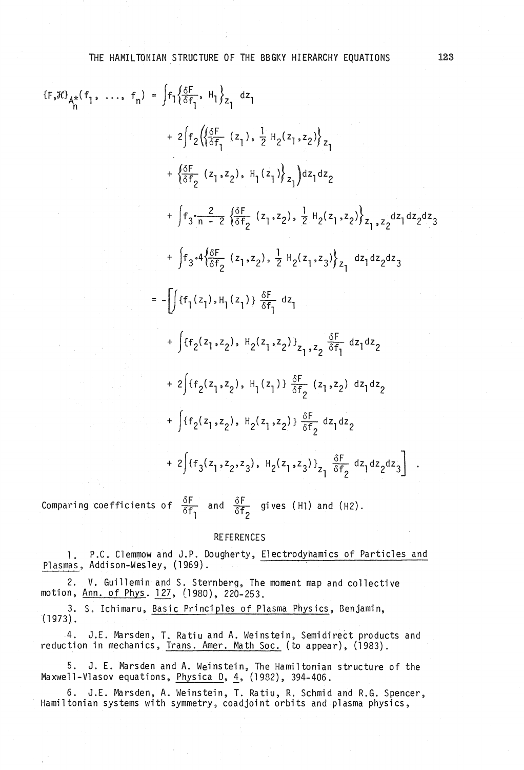THE HAMILTONIAN STRUCTURE OF THE BBGKY HIERARCHY EQUATIONS 123

$$
\{F, 3G\}_{n}^{*}(f_{1}, ..., f_{n}) = \int f_{1} \{\frac{\delta F}{\delta f_{1}}, H_{1}\}_{Z_{1}} dz_{1}
$$
\n
$$
+ 2 \int f_{2} \{\{\frac{\delta F}{\delta f_{1}} (z_{1}), \frac{1}{2} H_{2}(z_{1}, z_{2})\}_{Z_{1}} dz_{2}
$$
\n
$$
+ \int f_{3} \cdot \frac{2}{n-2} \{\frac{\delta F}{\delta f_{2}} (z_{1}, z_{2}), \frac{1}{2} H_{2}(z_{1}, z_{2})\}_{Z_{1}, z_{2}} dz_{1} dz_{2} dz_{3}
$$
\n
$$
+ \int f_{3} \cdot 4 \{\frac{\delta F}{\delta f_{2}} (z_{1}, z_{2}), \frac{1}{2} H_{2}(z_{1}, z_{2})\}_{Z_{1}} dz_{1} dz_{2} dz_{3}
$$
\n
$$
= - \int \{f_{1}(z_{1}), H_{1}(z_{1})\}_{\frac{\delta F}{\delta f_{1}}} dz_{1}
$$
\n
$$
+ \int \{f_{2}(z_{1}, z_{2}), H_{2}(z_{1}, z_{2})\}_{Z_{1}, z_{2}} \frac{\delta F}{\delta f_{1}} dz_{1} dz_{2}
$$
\n
$$
+ 2 \int \{f_{2}(z_{1}, z_{2}), H_{1}(z_{1})\}_{\frac{\delta F}{\delta f_{2}}} (z_{1}, z_{2}) dz_{1} dz_{2}
$$
\n
$$
+ \int \{f_{2}(z_{1}, z_{2}), H_{2}(z_{1}, z_{2})\}_{\frac{\delta F}{\delta f_{2}}} dz_{1} dz_{2}
$$
\n
$$
+ \int \{f_{2}(z_{1}, z_{2}), H_{2}(z_{1}, z_{2})\}_{\frac{\delta F}{\delta f_{2}}} dz_{1} dz_{2}
$$
\n
$$
+ 2 \int \{f_{3}(z_{1}, z_{2}, z_{3}), H_{2}(z_{1}, z_{3})\}_{Z_{1}} \frac{\delta F}{\delta f_{2}} dz_{1} dz_{2} dz_{3}
$$

Comparing coefficients of  $\frac{\delta F}{\delta f_1}$  and  $\frac{\delta F}{\delta f_2}$  gives (H1) and (H2).

#### **REFERENCES**

1. P.C. Clemmow and J.P. Dougherty. Electrodyhamics of Particles and Plasmas, Addison-Wesley, (1969).

2. V. Guillemin and S. Sternberg, The moment map and collective motion, Ann. of Phys. 127, (1980), 220-253.

3. S. Ichimaru, Basic Principles of Plasma Physics, Benjamin, (1973).

4. J.E. Marsden, T. Ratiu and A. Weinstein, Semidirect products and reduction in mechanics, Trans. Amer. Math Soc. (to appear), (1983).

5. J. E. Marsden and A. Weinstein, The Hamiltonian structure of the Maxwell-Vlasov equations, Physica D, *i.* (1982), 394-406.

6. J.E. Marsden, A. Weinstein, T. Ratiu, R. Schmid and R.G. Spencer, Hamiltonian systems with symmetry, coadjoint orbits and plasma physics,